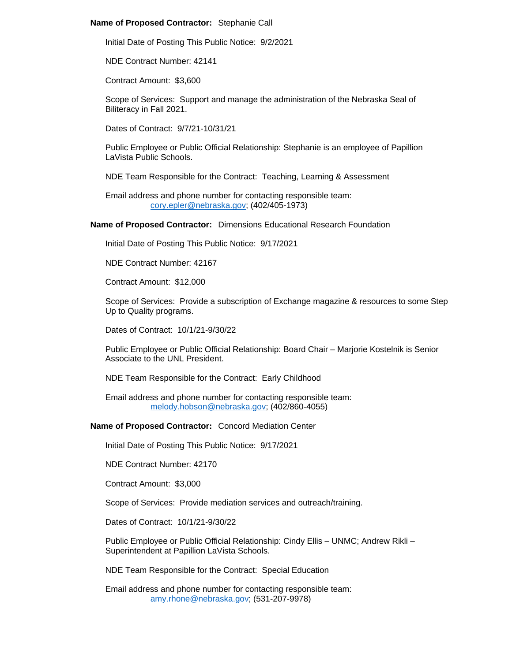### **Name of Proposed Contractor:** Stephanie Call

Initial Date of Posting This Public Notice: 9/2/2021

NDE Contract Number: 42141

Contract Amount: \$3,600

Scope of Services: Support and manage the administration of the Nebraska Seal of Biliteracy in Fall 2021.

Dates of Contract: 9/7/21-10/31/21

Public Employee or Public Official Relationship: Stephanie is an employee of Papillion LaVista Public Schools.

NDE Team Responsible for the Contract: Teaching, Learning & Assessment

Email address and phone number for contacting responsible team: [cory.epler@nebraska.gov;](mailto:cory.epler@nebraska.gov) (402/405-1973)

### **Name of Proposed Contractor:** Dimensions Educational Research Foundation

Initial Date of Posting This Public Notice: 9/17/2021

NDE Contract Number: 42167

Contract Amount: \$12,000

Scope of Services: Provide a subscription of Exchange magazine & resources to some Step Up to Quality programs.

Dates of Contract: 10/1/21-9/30/22

Public Employee or Public Official Relationship: Board Chair – Marjorie Kostelnik is Senior Associate to the UNL President.

NDE Team Responsible for the Contract: Early Childhood

Email address and phone number for contacting responsible team: [melody.hobson@nebraska.gov;](mailto:melody.hobson@nebraska.gov) (402/860-4055)

**Name of Proposed Contractor:** Concord Mediation Center

Initial Date of Posting This Public Notice: 9/17/2021

NDE Contract Number: 42170

Contract Amount: \$3,000

Scope of Services: Provide mediation services and outreach/training.

Dates of Contract: 10/1/21-9/30/22

Public Employee or Public Official Relationship: Cindy Ellis – UNMC; Andrew Rikli – Superintendent at Papillion LaVista Schools.

NDE Team Responsible for the Contract: Special Education

Email address and phone number for contacting responsible team: [amy.rhone@nebraska.gov;](mailto:amy.rhone@nebraska.gov) (531-207-9978)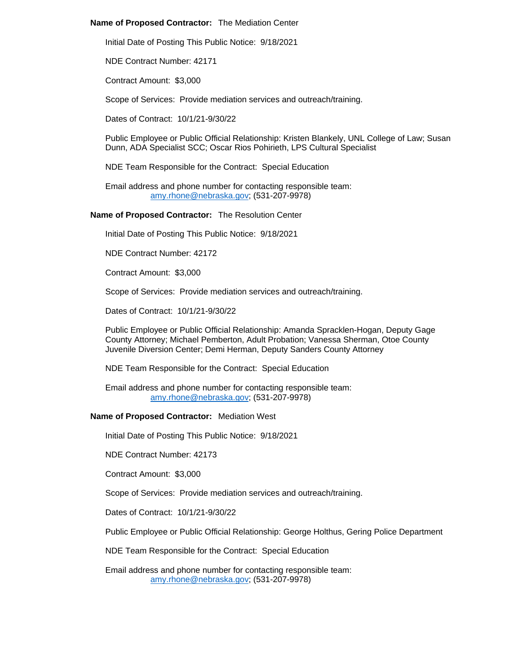## **Name of Proposed Contractor:** The Mediation Center

Initial Date of Posting This Public Notice: 9/18/2021

NDE Contract Number: 42171

Contract Amount: \$3,000

Scope of Services: Provide mediation services and outreach/training.

Dates of Contract: 10/1/21-9/30/22

Public Employee or Public Official Relationship: Kristen Blankely, UNL College of Law; Susan Dunn, ADA Specialist SCC; Oscar Rios Pohirieth, LPS Cultural Specialist

NDE Team Responsible for the Contract: Special Education

Email address and phone number for contacting responsible team: [amy.rhone@nebraska.gov;](mailto:amy.rhone@nebraska.gov) (531-207-9978)

## **Name of Proposed Contractor:** The Resolution Center

Initial Date of Posting This Public Notice: 9/18/2021

NDE Contract Number: 42172

Contract Amount: \$3,000

Scope of Services: Provide mediation services and outreach/training.

Dates of Contract: 10/1/21-9/30/22

Public Employee or Public Official Relationship: Amanda Spracklen-Hogan, Deputy Gage County Attorney; Michael Pemberton, Adult Probation; Vanessa Sherman, Otoe County Juvenile Diversion Center; Demi Herman, Deputy Sanders County Attorney

NDE Team Responsible for the Contract: Special Education

Email address and phone number for contacting responsible team: [amy.rhone@nebraska.gov;](mailto:amy.rhone@nebraska.gov) (531-207-9978)

#### **Name of Proposed Contractor:** Mediation West

Initial Date of Posting This Public Notice: 9/18/2021

NDE Contract Number: 42173

Contract Amount: \$3,000

Scope of Services: Provide mediation services and outreach/training.

Dates of Contract: 10/1/21-9/30/22

Public Employee or Public Official Relationship: George Holthus, Gering Police Department

NDE Team Responsible for the Contract: Special Education

Email address and phone number for contacting responsible team: [amy.rhone@nebraska.gov;](mailto:amy.rhone@nebraska.gov) (531-207-9978)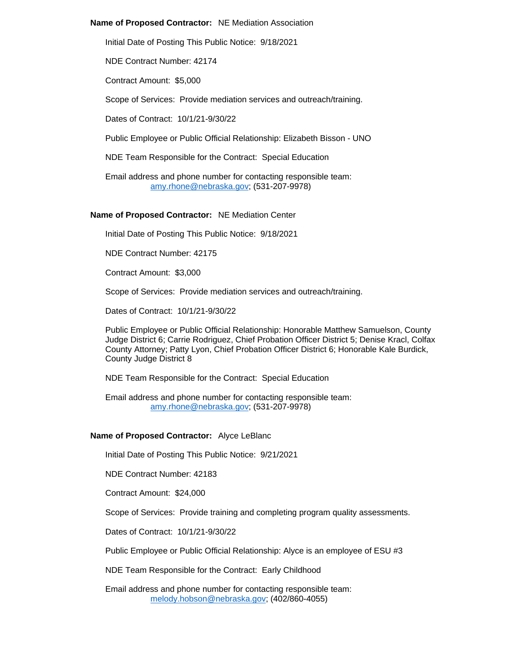### **Name of Proposed Contractor:** NE Mediation Association

Initial Date of Posting This Public Notice: 9/18/2021

NDE Contract Number: 42174

Contract Amount: \$5,000

Scope of Services: Provide mediation services and outreach/training.

Dates of Contract: 10/1/21-9/30/22

Public Employee or Public Official Relationship: Elizabeth Bisson - UNO

NDE Team Responsible for the Contract: Special Education

Email address and phone number for contacting responsible team: [amy.rhone@nebraska.gov;](mailto:amy.rhone@nebraska.gov) (531-207-9978)

#### **Name of Proposed Contractor:** NE Mediation Center

Initial Date of Posting This Public Notice: 9/18/2021

NDE Contract Number: 42175

Contract Amount: \$3,000

Scope of Services: Provide mediation services and outreach/training.

Dates of Contract: 10/1/21-9/30/22

Public Employee or Public Official Relationship: Honorable Matthew Samuelson, County Judge District 6; Carrie Rodriguez, Chief Probation Officer District 5; Denise Kracl, Colfax County Attorney; Patty Lyon, Chief Probation Officer District 6; Honorable Kale Burdick, County Judge District 8

NDE Team Responsible for the Contract: Special Education

Email address and phone number for contacting responsible team: [amy.rhone@nebraska.gov;](mailto:amy.rhone@nebraska.gov) (531-207-9978)

## **Name of Proposed Contractor:** Alyce LeBlanc

Initial Date of Posting This Public Notice: 9/21/2021

NDE Contract Number: 42183

Contract Amount: \$24,000

Scope of Services: Provide training and completing program quality assessments.

Dates of Contract: 10/1/21-9/30/22

Public Employee or Public Official Relationship: Alyce is an employee of ESU #3

NDE Team Responsible for the Contract: Early Childhood

Email address and phone number for contacting responsible team: [melody.hobson@nebraska.gov;](mailto:melody.hobson@nebraska.gov) (402/860-4055)